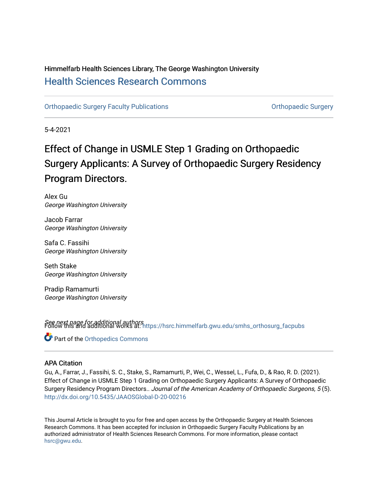## Himmelfarb Health Sciences Library, The George Washington University [Health Sciences Research Commons](https://hsrc.himmelfarb.gwu.edu/)

[Orthopaedic Surgery Faculty Publications](https://hsrc.himmelfarb.gwu.edu/smhs_orthosurg_facpubs) **Contains Containers** Orthopaedic Surgery

5-4-2021

## Effect of Change in USMLE Step 1 Grading on Orthopaedic Surgery Applicants: A Survey of Orthopaedic Surgery Residency Program Directors.

Alex Gu George Washington University

Jacob Farrar George Washington University

Safa C. Fassihi George Washington University

Seth Stake George Washington University

Pradip Ramamurti George Washington University

See next page for additional authors Follow this and additional works at: [https://hsrc.himmelfarb.gwu.edu/smhs\\_orthosurg\\_facpubs](https://hsrc.himmelfarb.gwu.edu/smhs_orthosurg_facpubs?utm_source=hsrc.himmelfarb.gwu.edu%2Fsmhs_orthosurg_facpubs%2F637&utm_medium=PDF&utm_campaign=PDFCoverPages) 

Part of the [Orthopedics Commons](http://network.bepress.com/hgg/discipline/696?utm_source=hsrc.himmelfarb.gwu.edu%2Fsmhs_orthosurg_facpubs%2F637&utm_medium=PDF&utm_campaign=PDFCoverPages)

### APA Citation

Gu, A., Farrar, J., Fassihi, S. C., Stake, S., Ramamurti, P., Wei, C., Wessel, L., Fufa, D., & Rao, R. D. (2021). Effect of Change in USMLE Step 1 Grading on Orthopaedic Surgery Applicants: A Survey of Orthopaedic Surgery Residency Program Directors.. Journal of the American Academy of Orthopaedic Surgeons, 5 (5). <http://dx.doi.org/10.5435/JAAOSGlobal-D-20-00216>

This Journal Article is brought to you for free and open access by the Orthopaedic Surgery at Health Sciences Research Commons. It has been accepted for inclusion in Orthopaedic Surgery Faculty Publications by an authorized administrator of Health Sciences Research Commons. For more information, please contact [hsrc@gwu.edu](mailto:hsrc@gwu.edu).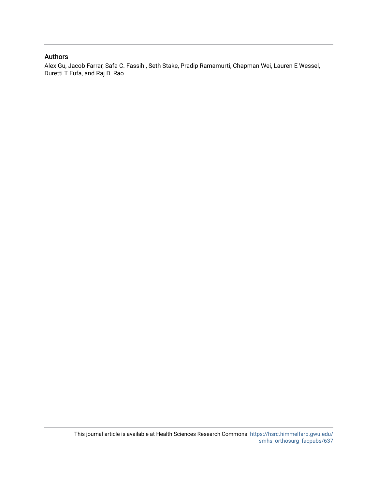#### Authors

Alex Gu, Jacob Farrar, Safa C. Fassihi, Seth Stake, Pradip Ramamurti, Chapman Wei, Lauren E Wessel, Duretti T Fufa, and Raj D. Rao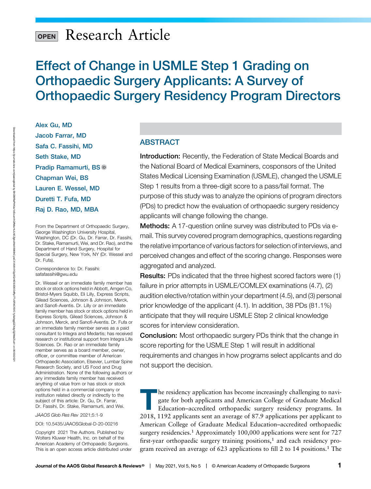# Research Article

## Effect of Change in USMLE Step 1 Grading on Orthopaedic Surgery Applicants: A Survey of Orthopaedic Surgery Residency Program Directors

Alex Gu, MD Jacob Farrar, MD Safa C. Fassihi, MD Seth Stake, MD Pradip Ramamurti, BS Chapman Wei, BS Lauren E. Wessel, MD Duretti T. Fufa, MD Raj D. Rao, MD, MBA

From the Department of Orthopaedic Surgery, George Washington University Hospital, Washington, DC (Dr. Gu, Dr. Farrar, Dr. Fassihi, Dr. Stake, Ramamurti, Wei, and Dr. Rao), and the Department of Hand Surgery, Hospital for Special Surgery, New York, NY (Dr. Wessel and Dr. Fufa).

Correspondence to: Dr. Fassihi: [safafassihi@gwu.edu](mailto:safafassihi@gwu.edu)

Dr. Wessel or an immediate family member has stock or stock options held in Abbott, Amgen Co, Bristol-Myers Squibb, Eli Lilly, Express Scripts, Gilead Sciences, Johnson & Johnson, Merck, and Sanofi-Aventis. Dr. Lilly or an immediate family member has stock or stock options held in Express Scripts, Gilead Sciences, Johnson & Johnson, Merck, and Sanofi-Aventis. Dr. Fufa or an immediate family member serves as a paid consultant to Integra and Medartis; has received research or institutional support from Integra Life Sciences. Dr. Rao or an immediate family member serves as a board member, owner, officer, or committee member of American Orthopaedic Association, Elsevier, Lumbar Spine Research Society, and US Food and Drug Administration. None of the following authors or any immediate family member has received anything of value from or has stock or stock options held in a commercial company or institution related directly or indirectly to the subject of this article: Dr. Gu, Dr. Farrar, Dr. Fassihi, Dr. Stake, Ramamurti, and Wei.

JAAOS Glob Res Rev 2021;5:1-9

DOI: [10.5435/JAAOSGlobal-D-20-00216](http://dx.doi.org/10.5435/JAAOSGlobal-D-20-00216)

Copyright 2021 The Authors. Published by Wolters Kluwer Health, Inc. on behalf of the American Academy of Orthopaedic Surgeons. This is an open access article distributed under

#### ABSTRACT

Introduction: Recently, the Federation of State Medical Boards and the National Board of Medical Examiners, cosponsors of the United States Medical Licensing Examination (USMLE), changed the USMLE Step 1 results from a three-digit score to a pass/fail format. The purpose of this study was to analyze the opinions of program directors (PDs) to predict how the evaluation of orthopaedic surgery residency applicants will change following the change.

Methods: A 17-question online survey was distributed to PDs via email. This survey covered program demographics, questions regarding the relative importance of various factors for selection of interviews, and perceived changes and effect of the scoring change. Responses were aggregated and analyzed.

Results: PDs indicated that the three highest scored factors were (1) failure in prior attempts in USMLE/COMLEX examinations (4.7), (2) audition elective/rotation within your department (4.5), and (3) personal prior knowledge of the applicant (4.1). In addition, 38 PDs (81.1%) anticipate that they will require USMLE Step 2 clinical knowledge scores for interview consideration.

**Conclusion:** Most orthopaedic surgery PDs think that the change in score reporting for the USMLE Step 1 will result in additional requirements and changes in how programs select applicants and do not support the decision.

The residency application has become increasingly challenging to navigate for both applicants and American College of Graduate Medical<br>Education-accredited orthopaedic surgery residency programs. In gate for both applicants and American College of Graduate Medical Education–accredited orthopaedic surgery residency programs. In 2018, 1192 applicants sent an average of 87.9 applications per applicant to American College of Graduate Medical Education–accredited orthopaedic surgery residencies.<sup>1</sup> Approximately 100,000 applications were sent for 727 first-year orthopaedic surgery training positions, $<sup>1</sup>$  and each residency pro-</sup> gram received an average of 623 applications to fill 2 to 14 positions.<sup>1</sup> The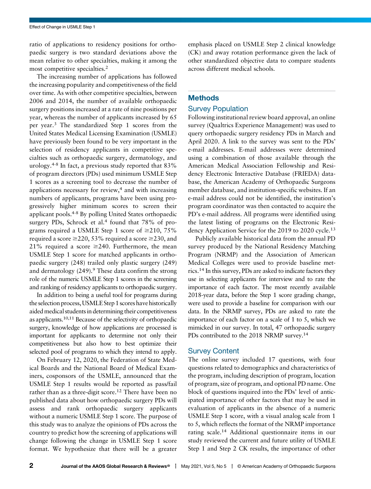ratio of applications to residency positions for orthopaedic surgery is two standard deviations above the mean relative to other specialties, making it among the most competitive specialties.<sup>2</sup>

The increasing number of applications has followed the increasing popularity and competitiveness of the field over time. As with other competitive specialties, between 2006 and 2014, the number of available orthopaedic surgery positions increased at a rate of nine positions per year, whereas the number of applicants increased by 65 per year.<sup>3</sup> The standardized Step 1 scores from the United States Medical Licensing Examination (USMLE) have previously been found to be very important in the selection of residency applicants in competitive specialties such as orthopaedic surgery, dermatology, and urology.<sup>4-8</sup> In fact, a previous study reported that  $83\%$ of program directors (PDs) used minimum USMLE Step 1 scores as a screening tool to decrease the number of applications necessary for review, $4$  and with increasing numbers of applicants, programs have been using progressively higher minimum scores to screen their applicant pools.4-8 By polling United States orthopaedic surgery PDs, Schrock et al.<sup>4</sup> found that 78% of programs required a USMLE Step 1 score of  $\geq$ 210, 75% required a score  $\geq$ 220, 53% required a score  $\geq$ 230, and 21% required a score  $\geq$ 240. Furthermore, the mean USMLE Step 1 score for matched applicants in orthopaedic surgery (248) trailed only plastic surgery (249) and dermatology  $(249)$ .<sup>9</sup> These data confirm the strong role of the numeric USMLE Step 1 scores in the screening and ranking of residency applicants to orthopaedic surgery.

In addition to being a useful tool for programs during the selection process, USMLE Step 1 scores have historically aided medical students in determining their competitiveness as applicants.10,11 Because of the selectivity of orthopaedic surgery, knowledge of how applications are processed is important for applicants to determine not only their competitiveness but also how to best optimize their selected pool of programs to which they intend to apply.

On February 12, 2020, the Federation of State Medical Boards and the National Board of Medical Examiners, cosponsors of the USMLE, announced that the USMLE Step 1 results would be reported as pass/fail rather than as a three-digit score.<sup>12</sup> There have been no published data about how orthopaedic surgery PDs will assess and rank orthopaedic surgery applicants without a numeric USMLE Step 1 score. The purpose of this study was to analyze the opinions of PDs across the country to predict how the screening of applications will change following the change in USMLE Step 1 score format. We hypothesize that there will be a greater

emphasis placed on USMLE Step 2 clinical knowledge (CK) and away rotation performance given the lack of other standardized objective data to compare students across different medical schools.

#### Methods

#### Survey Population

Following institutional review board approval, an online survey (Qualtrics Experience Management) was used to query orthopaedic surgery residency PDs in March and April 2020. A link to the survey was sent to the PDs' e-mail addresses. E-mail addresses were determined using a combination of those available through the American Medical Association Fellowship and Residency Electronic Interactive Database (FRIEDA) database, the American Academy of Orthopaedic Surgeons member database, and institution-specific websites. If an e-mail address could not be identified, the institution's program coordinator was then contacted to acquire the PD's e-mail address. All programs were identified using the latest listing of programs on the Electronic Residency Application Service for the 2019 to 2020 cycle.<sup>13</sup>

Publicly available historical data from the annual PD survey produced by the National Residency Matching Program (NRMP) and the Association of American Medical Colleges were used to provide baseline metrics.<sup>14</sup> In this survey, PDs are asked to indicate factors they use in selecting applicants for interview and to rate the importance of each factor. The most recently available 2018-year data, before the Step 1 score grading change, were used to provide a baseline for comparison with our data. In the NRMP survey, PDs are asked to rate the importance of each factor on a scale of 1 to 5, which we mimicked in our survey. In total, 47 orthopaedic surgery PDs contributed to the 2018 NRMP survey.<sup>14</sup>

#### Survey Content

The online survey included 17 questions, with four questions related to demographics and characteristics of the program, including description of program, location of program, size of program, and optional PD name. One block of questions inquired into the PDs' level of anticipated importance of other factors that may be used in evaluation of applicants in the absence of a numeric USMLE Step 1 score, with a visual analog scale from 1 to 5, which reflects the format of the NRMP importance rating scale.<sup>14</sup> Additional questionnaire items in our study reviewed the current and future utility of USMLE Step 1 and Step 2 CK results, the importance of other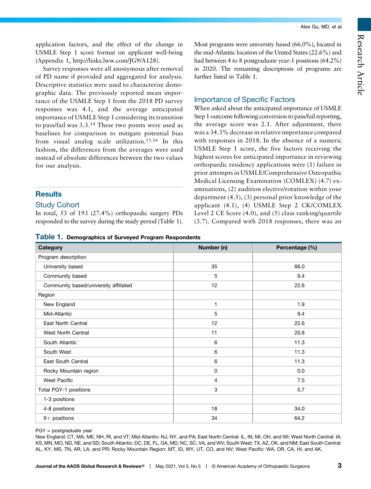Most programs were university based (66.0%), located in the mid-Atlantic location of the United States (22.6%) and had between 4 to 8 postgraduate year-1 positions (64.2%) in 2020. The remaining descriptions of programs are

When asked about the anticipated importance of USMLE Step 1 outcome following conversion to pass/fail reporting, the average score was 2.1. After adjustment, there was a 34.3% decrease in relative importance compared with responses in 2018. In the absence of a numeric USMLE Step 1 score, the five factors receiving the highest scores for anticipated importance in reviewing orthopaedic residency applications were (1) failure in prior attempts in USMLE/Comprehensive Osteopathic Medical Licensing Examination (COMLEX) (4.7) examinations, (2) audition elective/rotation within your department (4.5), (3) personal prior knowledge of the applicant (4.1), (4) USMLE Step 2 CK/COMLEX Level 2 CE Score (4.0), and (5) class ranking/quartile (3.7). Compared with 2018 responses, there was an

further listed in Table 1.

Importance of Specific Factors

application factors, and the effect of the change in USMLE Step 1 score format on applicant well-being (Appendix 1,<http://links.lww.com/JG9/A128>).

Survey responses were all anonymous after removal of PD name if provided and aggregated for analysis. Descriptive statistics were used to characterize demographic data. The previously reported mean importance of the USMLE Step 1 from the 2018 PD survey responses was 4.1, and the average anticipated importance of USMLE Step 1 considering its transition to pass/fail was 3.3.<sup>14</sup> These two points were used as baselines for comparison to mitigate potential bias from visual analog scale utilization.15,16 In this fashion, the differences from the averages were used instead of absolute differences between the two values for our analysis.

### **Results**

#### Study Cohort

In total, 53 of 193 (27.4%) orthopaedic surgery PDs responded to the survey during the study period (Table 1).

Table 1. Demographics of Surveyed Program Resp.

| Category                              | Number (n)       | Percentage (%) |  |  |  |
|---------------------------------------|------------------|----------------|--|--|--|
| Program description                   |                  |                |  |  |  |
| University based                      | 35               | 66.0           |  |  |  |
| Community based                       | 5                | 9.4            |  |  |  |
| Community based/university affiliated | 12               | 22.6           |  |  |  |
| Region                                |                  |                |  |  |  |
| New England                           | 1                | 1.9            |  |  |  |
| Mid-Atlantic                          | 5                | 9.4            |  |  |  |
| East North Central                    | 12               | 22.6           |  |  |  |
| <b>West North Central</b>             | 11               | 20.8           |  |  |  |
| South Atlantic                        | 6                | 11.3           |  |  |  |
| South West                            | 6                | 11.3           |  |  |  |
| East South Central                    | 6                | 11.3           |  |  |  |
| Rocky Mountain region                 | $\pmb{0}$        | 0.0            |  |  |  |
| <b>West Pacific</b>                   | $\overline{4}$   | 7.5            |  |  |  |
| Total PGY-1 positions                 | $\boldsymbol{3}$ | 5.7            |  |  |  |
| 1-3 positions                         |                  |                |  |  |  |
| 4-8 positions                         | 18               | 34.0           |  |  |  |
| $9+$ positions                        | 34               | 64.2           |  |  |  |

PGY = postgraduate year

New England: CT, MA, ME, NH, RI, and VT; Mid-Atlantic: NJ, NY, and PA; East North Central: IL, IN, MI, OH, and WI; West North Central: IA, KS, MN, MO, ND, NE, and SD; South Atlantic: DC, DE, FL, GA, MD, NC, SC, VA, and WV; South West: TX, AZ, OK, and NM; East South Central: AL, KY, MS, TN, AR, LA, and PR; Rocky Mountain Region: MT, ID, WY, UT, CO, and NV; West Pacific: WA, OR, CA, HI, and AK.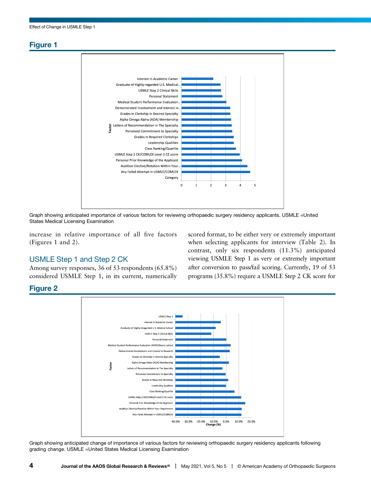### Figure 1



Graph showing anticipated importance of various factors for reviewing orthopaedic surgery residency applicants. USMLE =United States Medical Licensing Examination

increase in relative importance of all five factors (Figures 1 and 2).

#### USMLE Step 1 and Step 2 CK

Among survey responses, 36 of 53 respondents (65.8%) considered USMLE Step 1, in its current, numerically scored format, to be either very or extremely important when selecting applicants for interview (Table 2). In contrast, only six respondents (11.3%) anticipated viewing USMLE Step 1 as very or extremely important after conversion to pass/fail scoring. Currently, 19 of 53 programs (35.8%) require a USMLE Step 2 CK score for

### Figure 2



Graph showing anticipated change of importance of various factors for reviewing orthopaedic surgery residency applicants following grading change. USMLE =United States Medical Licensing Examination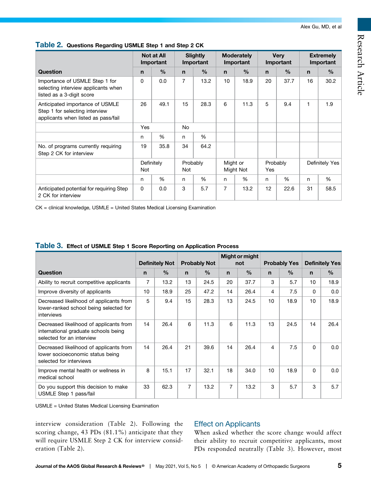Research Article

|                                                                                                          | <b>Not at All</b><br>Important |               | <b>Slightly</b><br>Important |               | <b>Moderately</b><br>Important |      | <b>Very</b><br>Important |               | <b>Extremely</b><br>Important |      |  |
|----------------------------------------------------------------------------------------------------------|--------------------------------|---------------|------------------------------|---------------|--------------------------------|------|--------------------------|---------------|-------------------------------|------|--|
| <b>Question</b>                                                                                          | $\mathbf n$                    | $\frac{0}{0}$ | n                            | $\frac{0}{0}$ | $\mathbf n$                    | $\%$ | $\mathbf n$              | $\frac{0}{0}$ | $\mathsf{n}$                  | $\%$ |  |
| Importance of USMLE Step 1 for<br>selecting interview applicants when<br>listed as a 3-digit score       | 0                              | 0.0           | $\overline{7}$               | 13.2          | 10                             | 18.9 | 20                       | 37.7          | 16                            | 30.2 |  |
| Anticipated importance of USMLE<br>Step 1 for selecting interview<br>applicants when listed as pass/fail | 26                             | 49.1          | 15                           | 28.3          | 6                              | 11.3 | 5                        | 9.4           | 1                             | 1.9  |  |
|                                                                                                          | Yes                            |               | No                           |               |                                |      |                          |               |                               |      |  |
|                                                                                                          | n                              | %             | n                            | %             |                                |      |                          |               |                               |      |  |
| No. of programs currently requiring<br>Step 2 CK for interview                                           | 19                             | 35.8          | 34                           | 64.2          |                                |      |                          |               |                               |      |  |
|                                                                                                          | Definitely<br>Not              |               | Probably<br>Not              |               | Might or<br>Might Not          |      | Probably<br>Yes          |               | Definitely Yes                |      |  |
|                                                                                                          | n                              | %             | n.                           | %             | n                              | %    | n                        | %             | n                             | %    |  |
| Anticipated potential for requiring Step<br>2 CK for interview                                           | 0                              | 0.0           | 3                            | 5.7           | 7                              | 13.2 | 12                       | 22.6          | 31                            | 58.5 |  |

#### Table 2. Questions Regarding USMLE Step 1 and Step 2 CK

CK = clinical knowledge, USMLE = United States Medical Licensing Examination

|                                                                                                              | <b>Definitely Not</b> |               | <b>Probably Not</b> |               | Might or might<br>not |               | <b>Probably Yes</b> |               | <b>Definitely Yes</b> |               |
|--------------------------------------------------------------------------------------------------------------|-----------------------|---------------|---------------------|---------------|-----------------------|---------------|---------------------|---------------|-----------------------|---------------|
| <b>Question</b>                                                                                              | $\mathbf n$           | $\frac{0}{0}$ | $\mathbf n$         | $\frac{0}{0}$ | $\mathbf n$           | $\frac{0}{0}$ | n                   | $\frac{0}{0}$ | n                     | $\frac{0}{0}$ |
| Ability to recruit competitive applicants                                                                    | 7                     | 13.2          | 13                  | 24.5          | 20                    | 37.7          | 3                   | 5.7           | 10                    | 18.9          |
| Improve diversity of applicants                                                                              | 10                    | 18.9          | 25                  | 47.2          | 14                    | 26.4          | 4                   | 7.5           | 0                     | 0.0           |
| Decreased likelihood of applicants from<br>lower-ranked school being selected for<br>interviews              | 5                     | 9.4           | 15                  | 28.3          | 13                    | 24.5          | 10                  | 18.9          | 10                    | 18.9          |
| Decreased likelihood of applicants from<br>international graduate schools being<br>selected for an interview | 14                    | 26.4          | 6                   | 11.3          | 6                     | 11.3          | 13                  | 24.5          | 14                    | 26.4          |
| Decreased likelihood of applicants from<br>lower socioeconomic status being<br>selected for interviews       | 14                    | 26.4          | 21                  | 39.6          | 14                    | 26.4          | 4                   | 7.5           | $\Omega$              | 0.0           |
| Improve mental health or wellness in<br>medical school                                                       | 8                     | 15.1          | 17                  | 32.1          | 18                    | 34.0          | 10                  | 18.9          | $\Omega$              | 0.0           |
| Do you support this decision to make<br>USMLE Step 1 pass/fail                                               | 33                    | 62.3          | $\overline{7}$      | 13.2          | 7                     | 13.2          | 3                   | 5.7           | 3                     | 5.7           |

#### Table 3. Effect of USMLE Step 1 Score Reporting on Application Process

USMLE = United States Medical Licensing Examination

interview consideration (Table 2). Following the scoring change, 43 PDs (81.1%) anticipate that they will require USMLE Step 2 CK for interview consideration (Table 2).

## Effect on Applicants

When asked whether the score change would affect their ability to recruit competitive applicants, most PDs responded neutrally (Table 3). However, most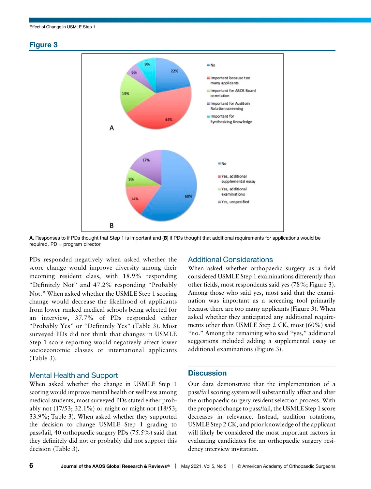#### Figure 3





PDs responded negatively when asked whether the score change would improve diversity among their incoming resident class, with 18.9% responding "Definitely Not" and 47.2% responding "Probably Not." When asked whether the USMLE Step 1 scoring change would decrease the likelihood of applicants from lower-ranked medical schools being selected for an interview, 37.7% of PDs responded either "Probably Yes" or "Definitely Yes" (Table 3). Most surveyed PDs did not think that changes in USMLE Step 1 score reporting would negatively affect lower socioeconomic classes or international applicants (Table 3).

#### Mental Health and Support

When asked whether the change in USMLE Step 1 scoring would improve mental health or wellness among medical students, most surveyed PDs stated either probably not (17/53; 32.1%) or might or might not (18/53; 33.9%; Table 3). When asked whether they supported the decision to change USMLE Step 1 grading to pass/fail, 40 orthopaedic surgery PDs (75.5%) said that they definitely did not or probably did not support this decision (Table 3).

#### Additional Considerations

When asked whether orthopaedic surgery as a field considered USMLE Step 1 examinations differently than other fields, most respondents said yes (78%; Figure 3). Among those who said yes, most said that the examination was important as a screening tool primarily because there are too many applicants (Figure 3). When asked whether they anticipated any additional requirements other than USMLE Step 2 CK, most (60%) said "no." Among the remaining who said "yes," additional suggestions included adding a supplemental essay or additional examinations (Figure 3).

#### **Discussion**

Our data demonstrate that the implementation of a pass/fail scoring system will substantially affect and alter the orthopaedic surgery resident selection process. With the proposed change to pass/fail, the USMLE Step 1 score decreases in relevance. Instead, audition rotations, USMLE Step 2 CK, and prior knowledge of the applicant will likely be considered the most important factors in evaluating candidates for an orthopaedic surgery residency interview invitation.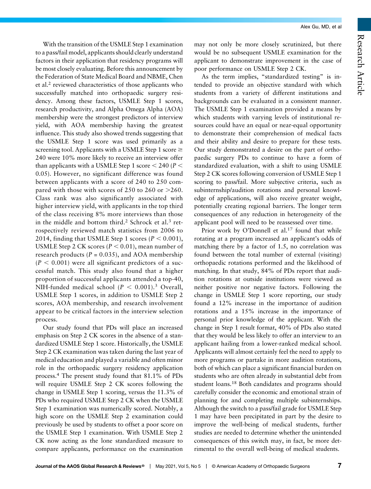With the transition of the USMLE Step 1 examination to a pass/fail model, applicants should clearly understand factors in their application that residency programs will be most closely evaluating. Before this announcement by the Federation of State Medical Board and NBME, Chen et al.<sup>2</sup> reviewed characteristics of those applicants who successfully matched into orthopaedic surgery residency. Among these factors, USMLE Step 1 scores, research productivity, and Alpha Omega Alpha (AOA) membership were the strongest predictors of interview yield, with AOA membership having the greatest influence. This study also showed trends suggesting that the USMLE Step 1 score was used primarily as a screening tool. Applicants with a USMLE Step 1 score  $\geq$ 240 were 10% more likely to receive an interview offer than applicants with a USMLE Step 1 score  $<$  240 (P  $<$ 0.05). However, no significant difference was found between applicants with a score of 240 to 250 compared with those with scores of 250 to 260 or  $>260$ . Class rank was also significantly associated with higher interview yield, with applicants in the top third of the class receiving 8% more interviews than those in the middle and bottom third.<sup>2</sup> Schrock et al.<sup>3</sup> retrospectively reviewed match statistics from 2006 to 2014, finding that USMLE Step 1 scores ( $P < 0.001$ ), USMLE Step 2 CK scores ( $P < 0.01$ ), mean number of research products ( $P = 0.035$ ), and AOA membership  $(P < 0.001)$  were all significant predictors of a successful match. This study also found that a higher proportion of successful applicants attended a top-40, NIH-funded medical school ( $P < 0.001$ ).<sup>3</sup> Overall, USMLE Step 1 scores, in addition to USMLE Step 2 scores, AOA membership, and research involvement appear to be critical factors in the interview selection process.

Our study found that PDs will place an increased emphasis on Step 2 CK scores in the absence of a standardized USMLE Step 1 score. Historically, the USMLE Step 2 CK examination was taken during the last year of medical education and played a variable and often minor role in the orthopaedic surgery residency application process.4 The present study found that 81.1% of PDs will require USMLE Step 2 CK scores following the change in USMLE Step 1 scoring, versus the 11.3% of PDs who required USMLE Step 2 CK when the USMLE Step 1 examination was numerically scored. Notably, a high score on the USMLE Step 2 examination could previously be used by students to offset a poor score on the USMLE Step 1 examination. With USMLE Step 2 CK now acting as the lone standardized measure to compare applicants, performance on the examination

may not only be more closely scrutinized, but there would be no subsequent USMLE examination for the applicant to demonstrate improvement in the case of poor performance on USMLE Step 2 CK.

As the term implies, "standardized testing" is intended to provide an objective standard with which students from a variety of different institutions and backgrounds can be evaluated in a consistent manner. The USMLE Step 1 examination provided a means by which students with varying levels of institutional resources could have an equal or near-equal opportunity to demonstrate their comprehension of medical facts and their ability and desire to prepare for these tests. Our study demonstrated a desire on the part of orthopaedic surgery PDs to continue to have a form of standardized evaluation, with a shift to using USMLE Step 2 CK scores following conversion of USMLE Step 1 scoring to pass/fail. More subjective criteria, such as subinternship/audition rotations and personal knowledge of applications, will also receive greater weight, potentially creating regional barriers. The longer term consequences of any reduction in heterogeneity of the applicant pool will need to be reassessed over time.

Prior work by O'Donnell et al.<sup>17</sup> found that while rotating at a program increased an applicant's odds of matching there by a factor of 1.5, no correlation was found between the total number of external (visiting) orthopaedic rotations performed and the likelihood of matching. In that study, 84% of PDs report that audition rotations at outside institutions were viewed as neither positive nor negative factors. Following the change in USMLE Step 1 score reporting, our study found a 12% increase in the importance of audition rotations and a 15% increase in the importance of personal prior knowledge of the applicant. With the change in Step 1 result format, 40% of PDs also stated that they would be less likely to offer an interview to an applicant hailing from a lower-ranked medical school. Applicants will almost certainly feel the need to apply to more programs or partake in more audition rotations, both of which can place a significant financial burden on students who are often already in substantial debt from student loans.<sup>18</sup> Both candidates and programs should carefully consider the economic and emotional strain of planning for and completing multiple subinternships. Although the switch to a pass/fail grade for USMLE Step 1 may have been precipitated in part by the desire to improve the well-being of medical students, further studies are needed to determine whether the unintended consequences of this switch may, in fact, be more detrimental to the overall well-being of medical students.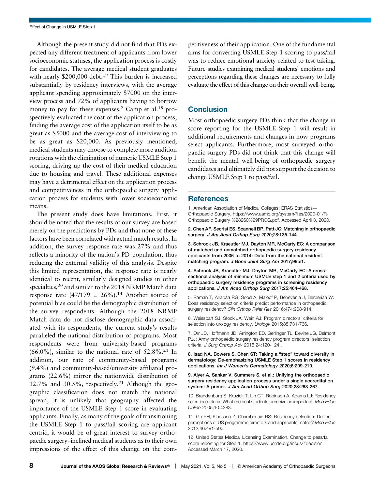Although the present study did not find that PDs expected any different treatment of applicants from lower socioeconomic statuses, the application process is costly for candidates. The average medical student graduates with nearly \$200,000 debt.<sup>19</sup> This burden is increased substantially by residency interviews, with the average applicant spending approximately \$7000 on the interview process and 72% of applicants having to borrow money to pay for these expenses.<sup>2</sup> Camp et al.<sup>18</sup> prospectively evaluated the cost of the application process, finding the average cost of the application itself to be as great as \$5000 and the average cost of interviewing to be as great as \$20,000. As previously mentioned, medical students may choose to complete more audition rotations with the elimination of numeric USMLE Step 1 scoring, driving up the cost of their medical education due to housing and travel. These additional expenses may have a detrimental effect on the application process and competitiveness in the orthopaedic surgery application process for students with lower socioeconomic means.

The present study does have limitations. First, it should be noted that the results of our survey are based merely on the predictions by PDs and that none of these factors have been correlated with actual match results. In addition, the survey response rate was 27% and thus reflects a minority of the nation's PD population, thus reducing the external validity of this analysis. Despite this limited representation, the response rate is nearly identical to recent, similarly designed studies in other specialties, $20$  and similar to the 2018 NRMP Match data response rate  $(47/179 = 26\%)$ .<sup>14</sup> Another source of potential bias could be the demographic distribution of the survey respondents. Although the 2018 NRMP Match data do not disclose demographic data associated with its respondents, the current study's results paralleled the national distribution of programs. Most respondents were from university-based programs  $(66.0\%)$ , similar to the national rate of  $52.8\%$ <sup>21</sup> In addition, our rate of community-based programs (9.4%) and community-based/university affiliated programs (22.6%) mirror the nationwide distribution of 12.7% and 30.5%, respectively.<sup>21</sup> Although the geographic classification does not match the national spread, it is unlikely that geography affected the importance of the USMLE Step 1 score in evaluating applicants. Finally, as many of the goals of transitioning the USMLE Step 1 to pass/fail scoring are applicant centric, it would be of great interest to survey orthopaedic surgery–inclined medical students as to their own impressions of the effect of this change on the competitiveness of their application. One of the fundamental aims for converting USMLE Step 1 scoring to pass/fail was to reduce emotional anxiety related to test taking. Future studies examining medical students' emotions and perceptions regarding these changes are necessary to fully evaluate the effect of this change on their overall well-being.

#### **Conclusion**

Most orthopaedic surgery PDs think that the change in score reporting for the USMLE Step 1 will result in additional requirements and changes in how programs select applicants. Furthermore, most surveyed orthopaedic surgery PDs did not think that this change will benefit the mental well-being of orthopaedic surgery candidates and ultimately did not support the decision to change USMLE Step 1 to pass/fail.

#### **References**

1. American Association of Medical Colleges: ERAS Statistics— Orthopaedic Surgery. [https://www.aamc.org/system/files/2020-01/R-](https://www.aamc.org/system/files/2020-01/R-Orthopaedic%20Surgery%20(260)PROG.pdf)[Orthopaedic Surgery %28260%29PROG.pdf](https://www.aamc.org/system/files/2020-01/R-Orthopaedic%20Surgery%20(260)PROG.pdf). Accessed April 3, 2020.

2. Chen AF, Secrist ES, Scannell BP, Patt JC: Matching in orthopaedic surgery. J Am Acad Orthop Surg 2020;28:135-144.

3. Schrock JB, Kraeutler MJ, Dayton MR, McCarty EC: A comparison of matched and unmatched orthopaedic surgery residency applicants from 2006 to 2014: Data from the national resident matching program. J Bone Joint Surg Am 2017;99:e1.

4. Schrock JB, Kraeutler MJ, Dayton MR, McCarty EC: A crosssectional analysis of minimum USMLE step 1 and 2 criteria used by orthopaedic surgery residency programs in screening residency applications. J Am Acad Orthop Surg 2017;25:464-468.

5. Raman T, Alrabaa RG, Sood A, Maloof P, Benevenia J, Berberian W: Does residency selection criteria predict performance in orthopaedic surgery residency? Clin Orthop Relat Res 2016;474:908-914.

6. Weissbart SJ, Stock JA, Wein AJ: Program directors' criteria for selection into urology residency. Urology 2015;85:731-736.

7. Orr JD, Hoffmann JD, Arrington ED, Gerlinger TL, Devine JG, Belmont PJJ: Army orthopaedic surgery residency program directors' selection criteria. J Surg Orthop Adv 2015;24:120-124..

#### 8. Isaq NA, Bowers S, Chen ST: Taking a "step" toward diversity in dermatology: De-emphasizing USMLE Step 1 scores in residency applications. Int J Women's Dermatology 2020;6:209-210.

9. Aiyer A, Sankar V, Summers S, et al.: Unifying the orthopaedic surgery residency application process under a single accreditation system: A primer. J Am Acad Orthop Surg 2020;28:263-267.

10. Brandenburg S, Kruzick T, Lin CT, Robinson A, Adams LJ: Residency selection criteria: What medical students perceive as important. Med Educ Online 2005;10:4383.

11. Go PH, Klaassen Z, Chamberlain RS: Residency selection: Do the perceptions of US programme directors and applicants match? Med Educ 2012;46:491-500.

12. United States Medical Licensing Examination. Change to pass/fail score reporting for Step 1.<https://www.usmle.org/incus/#decision>. Accessed March 17, 2020.